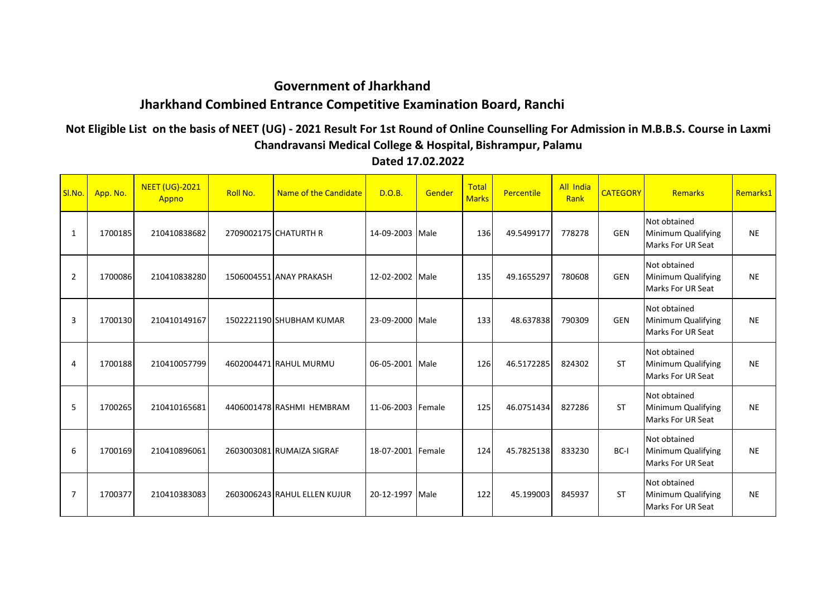## **Government of Jharkhand Jharkhand Combined Entrance Competitive Examination Board, Ranchi**

## **Not Eligible List on the basis of NEET (UG) - 2021 Result For 1st Round of Online Counselling For Admission in M.B.B.S. Course in Laxmi Chandravansi Medical College & Hospital, Bishrampur, Palamu**

SI.No. App. No. NEET (UG)-2021 Appno Roll No. Name of the Candidate D.O.B. Gender Total **Percentile** All India **CATEGORY** Remarks Remarks1 1 1700185 210410838682 2709002175 CHATURTH R 14-09-2003 Male 136 49.5499177 778278 GEN Not obtained Minimum Qualifying Marks For UR Seat NE Not obtained 2 | 1700086 210410838280 1506004551 ANAY PRAKASH 12-02-2002 | Male | 135 49.1655297 780608 | GEN Minimum Qualifying Marks For UR Seat NE 3 1700130 210410149167 1502221190 SHUBHAM KUMAR 23-09-2000 Male 133 48.637838 790309 GEN Not obtained Minimum Qualifying Marks For UR Seat NE 4 1700188 210410057799 4602004471 RAHUL MURMU 06-05-2001 Male 126 46.5172285 824302 ST Not obtained Minimum Qualifying Marks For UR Seat **NF** 5 1700265 210410165681 4406001478 RASHMI HEMBRAM 11-06-2003 Female 125 46.0751434 827286 ST Not obtained Minimum Qualifying Marks For UR Seat NE 6 1700169 210410896061 2603003081 RUMAIZA SIGRAF 18-07-2001 Female 124 45.7825138 833230 BC-I Not obtained Minimum Qualifying Marks For UR Seat NE 7 | 1700377 210410383083 2603006243 RAHUL ELLEN KUJUR 20-12-1997 Male 122 45.199003 845937 | ST Not obtained Minimum Qualifying Marks For UR Seat NE

**Dated 17.02.2022**